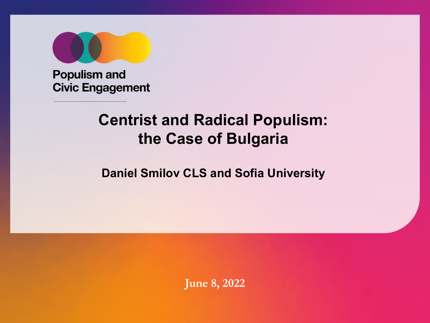

**Populism and Civic Engagement** 

## **Centrist and Radical Populism: the Case of Bulgaria**

### **Daniel Smilov CLS and Sofia University**

**June 8, 2022**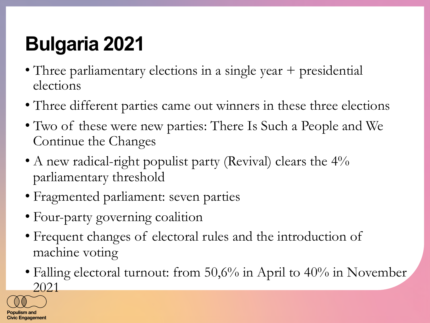# **Bulgaria 2021**

- Three parliamentary elections in a single year + presidential elections
- Three different parties came out winners in these three elections
- Two of these were new parties: There Is Such a People and We Continue the Changes
- A new radical-right populist party (Revival) clears the 4% parliamentary threshold
- Fragmented parliament: seven parties
- Four-party governing coalition
- Frequent changes of electoral rules and the introduction of machine voting
- Falling electoral turnout: from 50,6% in April to 40% in November 2021

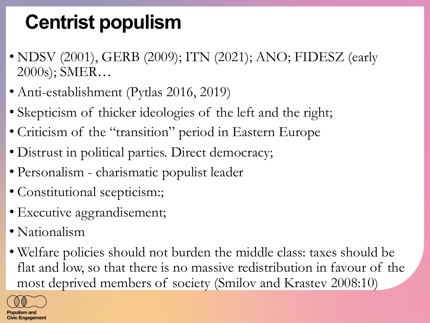# **Centrist populism**

- NDSV (2001), GERB (2009); ITN (2021); ANO; FIDESZ (early 2000s); SMER…
- Anti-establishment (Pytlas 2016, 2019)
- Skepticism of thicker ideologies of the left and the right;
- Criticism of the "transition" period in Eastern Europe
- Distrust in political parties. Direct democracy;
- Personalism charismatic populist leader
- Constitutional scepticism:;
- Executive aggrandisement;
- Nationalism
- Welfare policies should not burden the middle class: taxes should be flat and low, so that there is no massive redistribution in favour of the most deprived members of society (Smilov and Krastev 2008:10)

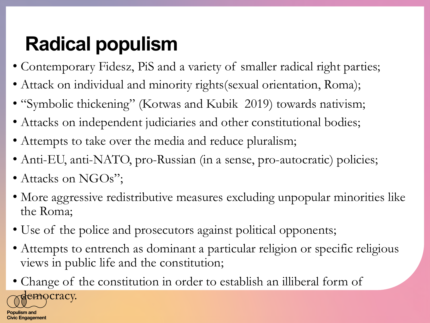# **Radical populism**

- Contemporary Fidesz, PiS and a variety of smaller radical right parties;
- Attack on individual and minority rights(sexual orientation, Roma);
- "Symbolic thickening" (Kotwas and Kubik 2019) towards nativism;
- Attacks on independent judiciaries and other constitutional bodies;
- Attempts to take over the media and reduce pluralism;
- Anti-EU, anti-NATO, pro-Russian (in a sense, pro-autocratic) policies;
- Attacks on NGOs";
- More aggressive redistributive measures excluding unpopular minorities like the Roma;
- Use of the police and prosecutors against political opponents;
- Attempts to entrench as dominant a particular religion or specific religious views in public life and the constitution;
- Change of the constitution in order to establish an illiberal form of democracy.

Populism and **Civic Engagement**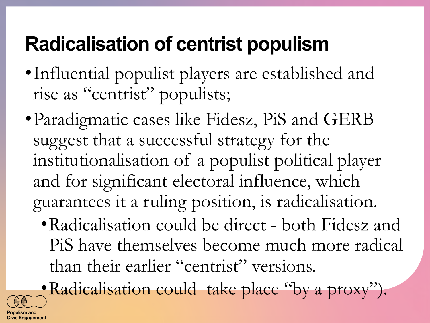# **Radicalisation of centrist populism**

- •Influential populist players are established and rise as "centrist" populists;
- Paradigmatic cases like Fidesz, PiS and GERB suggest that a successful strategy for the institutionalisation of a populist political player and for significant electoral influence, which guarantees it a ruling position, is radicalisation.
	- •Radicalisation could be direct both Fidesz and PiS have themselves become much more radical than their earlier "centrist" versions.

•Radicalisation could take place "by a proxy").

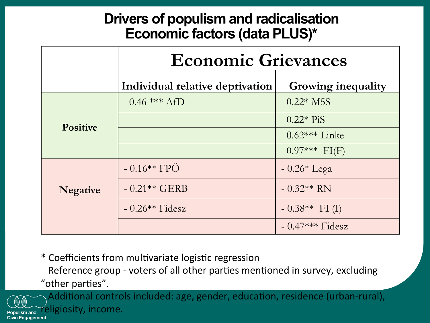### **Drivers of populism and radicalisation Economic factors (data PLUS)\***

|                 | <b>Economic Grievances</b>      |                           |  |  |
|-----------------|---------------------------------|---------------------------|--|--|
|                 | Individual relative deprivation | <b>Growing inequality</b> |  |  |
| <b>Positive</b> | $0.46$ *** AfD                  | $0.22*$ M5S               |  |  |
|                 |                                 | $0.22*$ PiS               |  |  |
|                 |                                 | $0.62***$ Linke           |  |  |
|                 |                                 | $0.97***$ FI(F)           |  |  |
| <b>Negative</b> | $-0.16**$ FPÖ                   | $-0.26*$ Lega             |  |  |
|                 | $-0.21**GERB$                   | $-0.32**RN$               |  |  |
|                 | $-0.26**$ Fidesz                | $-0.38**$ FI (I)          |  |  |
|                 |                                 | $-0.47***$ Fidesz         |  |  |

\* Coefficients from mul1variate logis1c regression 

Reference group - voters of all other parties mentioned in survey, excluding "other parties".



Additional controls included: age, gender, education, residence (urban-rural), Populism and ligiosity, income.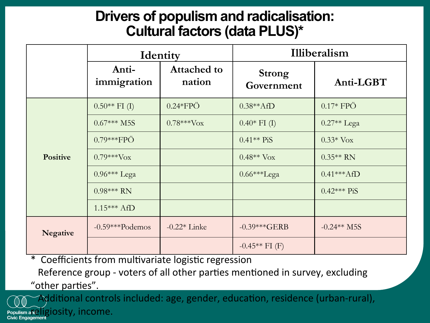### **Drivers of populism and radicalisation: Cultural factors (data PLUS)\***

|                 | Identity                 |                              | Illiberalism                |               |
|-----------------|--------------------------|------------------------------|-----------------------------|---------------|
|                 | Anti-<br>immigration     | <b>Attached to</b><br>nation | <b>Strong</b><br>Government | Anti-LGBT     |
| <b>Positive</b> | $0.50**$ FI (I)          | $0.24*FPÖ$                   | $0.38**AfD$                 | $0.17*$ FPÖ   |
|                 | $0.67***M5S$             | $0.78***V$ <sub>OX</sub>     | $0.40*$ FI (I)              | $0.27**$ Lega |
|                 | $0.79***FPÖ$             |                              | $0.41**$ PiS                | $0.33*$ Vox   |
|                 | $0.79***V$ <sub>OX</sub> |                              | $0.48**V$ Vox               | $0.35**$ RN   |
|                 | $0.96***$ Lega           |                              | 0.66***Lega                 | $0.41***$ AfD |
|                 | $0.98***$ RN             |                              |                             | $0.42***$ PiS |
|                 | $1.15***$ AfD            |                              |                             |               |
| <b>Negative</b> | $-0.59***$ Podemos       | $-0.22*$ Linke               | $-0.39***GERB$              | $-0.24**M5S$  |
|                 |                          |                              | $-0.45**$ FI (F)            |               |

\* Coefficients from multivariate logistic regression

Reference group - voters of all other parties mentioned in survey, excluding "other parties".

Populism a k<sup>i</sup> iOSity, income.

ditional controls included: age, gender, education, residence (urban-rural),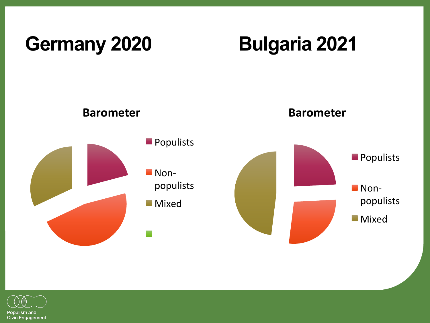## Germany 2020 **Bulgaria 2021**



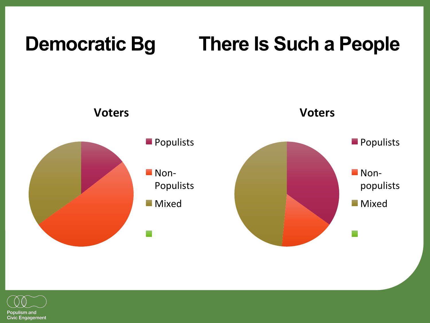## **Democratic Bg There Is Such a People**



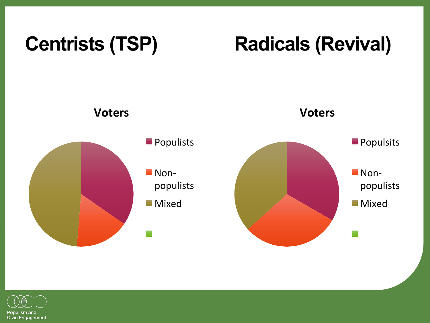## Centrists (TSP) **Radicals (Revival)**